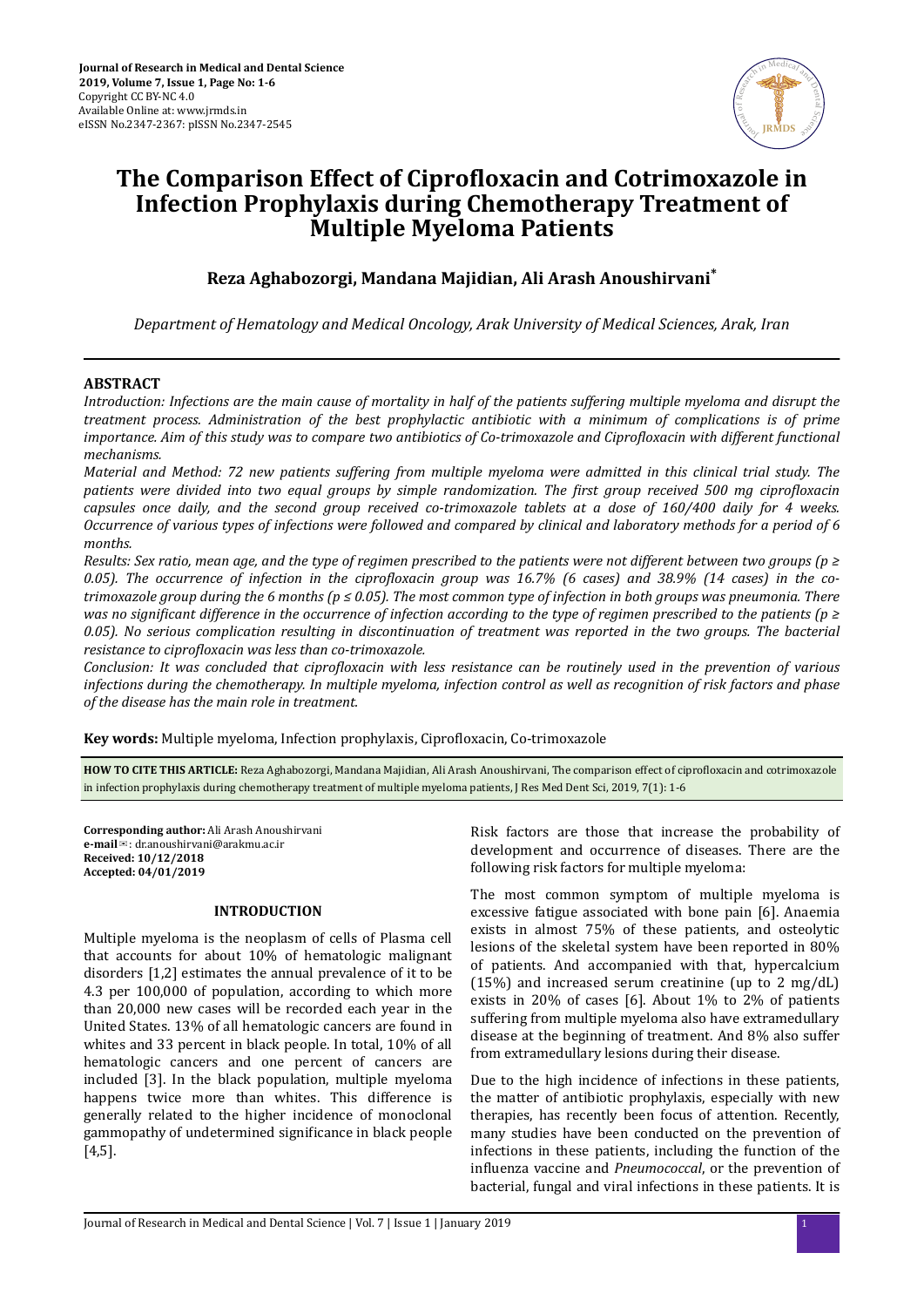

# **The Comparison Effect of Ciprofloxacin and Cotrimoxazole in Infection Prophylaxis during Chemotherapy Treatment of Multiple Myeloma Patients**

# **Reza Aghabozorgi, Mandana Majidian, Ali Arash Anoushirvani\***

*Department of Hematology and Medical Oncology, Arak University of Medical Sciences, Arak, Iran*

## **ABSTRACT**

*Introduction: Infections are the main cause of mortality in half of the patients suffering multiple myeloma and disrupt the treatment process. Administration of the best prophylactic antibiotic with a minimum of complications is of prime importance. Aim of this study was to compare two antibiotics of Co-trimoxazole and Ciprofloxacin with different functional mechanisms.*

*Material and Method: 72 new patients suffering from multiple myeloma were admitted in this clinical trial study. The patients were divided into two equal groups by simple randomization. The first group received 500 mg ciprofloxacin capsules once daily, and the second group received co-trimoxazole tablets at a dose of 160/400 daily for 4 weeks. Occurrence of various types of infections were followed and compared by clinical and laboratory methods for a period of 6 months.*

*Results: Sex ratio, mean age, and the type of regimen prescribed to the patients were not different between two groups (p ≥ 0.05*). The occurrence of infection in the ciprofloxacin group was 16.7% (6 cases) and 38.9% (14 cases) in the co*trimoxazole group during the 6 months (p ≤ 0.05). The most common type of infection in both groups was pneumonia. There was no significant difference in the occurrence of infection according to the type of regimen prescribed to the patients (p ≥ 0.05). No serious complication resulting in discontinuation of treatment was reported in the two groups. The bacterial resistance to ciprofloxacin was less than co-trimoxazole.* 

*Conclusion: It was concluded that ciprofloxacin with less resistance can be routinely used in the prevention of various infections during the chemotherapy. In multiple myeloma, infection control as well as recognition of risk factors and phase of the disease has the main role in treatment.*

Key words: Multiple myeloma, Infection prophylaxis, Ciprofloxacin, Co-trimoxazole

HOW TO CITE THIS ARTICLE: Reza Aghabozorgi, Mandana Majidian, Ali Arash Anoushirvani, The comparison effect of ciprofloxacin and cotrimoxazole in infection prophylaxis during chemotherapy treatment of multiple myeloma patients, J Res Med Dent Sci, 2019, 7(1): 1-6

**Corresponding author:** Ali Arash Anoushirvani **e-mail**✉: dr.anoushirvani@arakmu.ac.ir **Received: 10/12/2018 Accepted: 04/01/2019**

## **INTRODUCTION**

Multiple myeloma is the neoplasm of cells of Plasma cell that accounts for about 10% of hematologic malignant disorders [1,2] estimates the annual prevalence of it to be 4.3 per 100,000 of population, according to which more than 20,000 new cases will be recorded each year in the United States. 13% of all hematologic cancers are found in whites and 33 percent in black people. In total, 10% of all hematologic cancers and one percent of cancers are included [3]. In the black population, multiple myeloma happens twice more than whites. This difference is generally related to the higher incidence of monoclonal gammopathy of undetermined significance in black people [4,5].

Risk factors are those that increase the probability of development and occurrence of diseases. There are the following risk factors for multiple myeloma:

The most common symptom of multiple myeloma is excessive fatigue associated with bone pain [6]. Anaemia exists in almost 75% of these patients, and osteolytic lesions of the skeletal system have been reported in 80% of patients. And accompanied with that, hypercalcium (15%) and increased serum creatinine (up to 2 mg/dL) exists in 20% of cases [6]. About 1% to 2% of patients suffering from multiple myeloma also have extramedullary disease at the beginning of treatment. And 8% also suffer from extramedullary lesions during their disease.

Due to the high incidence of infections in these patients, the matter of antibiotic prophylaxis, especially with new therapies, has recently been focus of attention. Recently, many studies have been conducted on the prevention of infections in these patients, including the function of the influenza vaccine and *Pneumococcal*, or the prevention of bacterial, fungal and viral infections in these patients. It is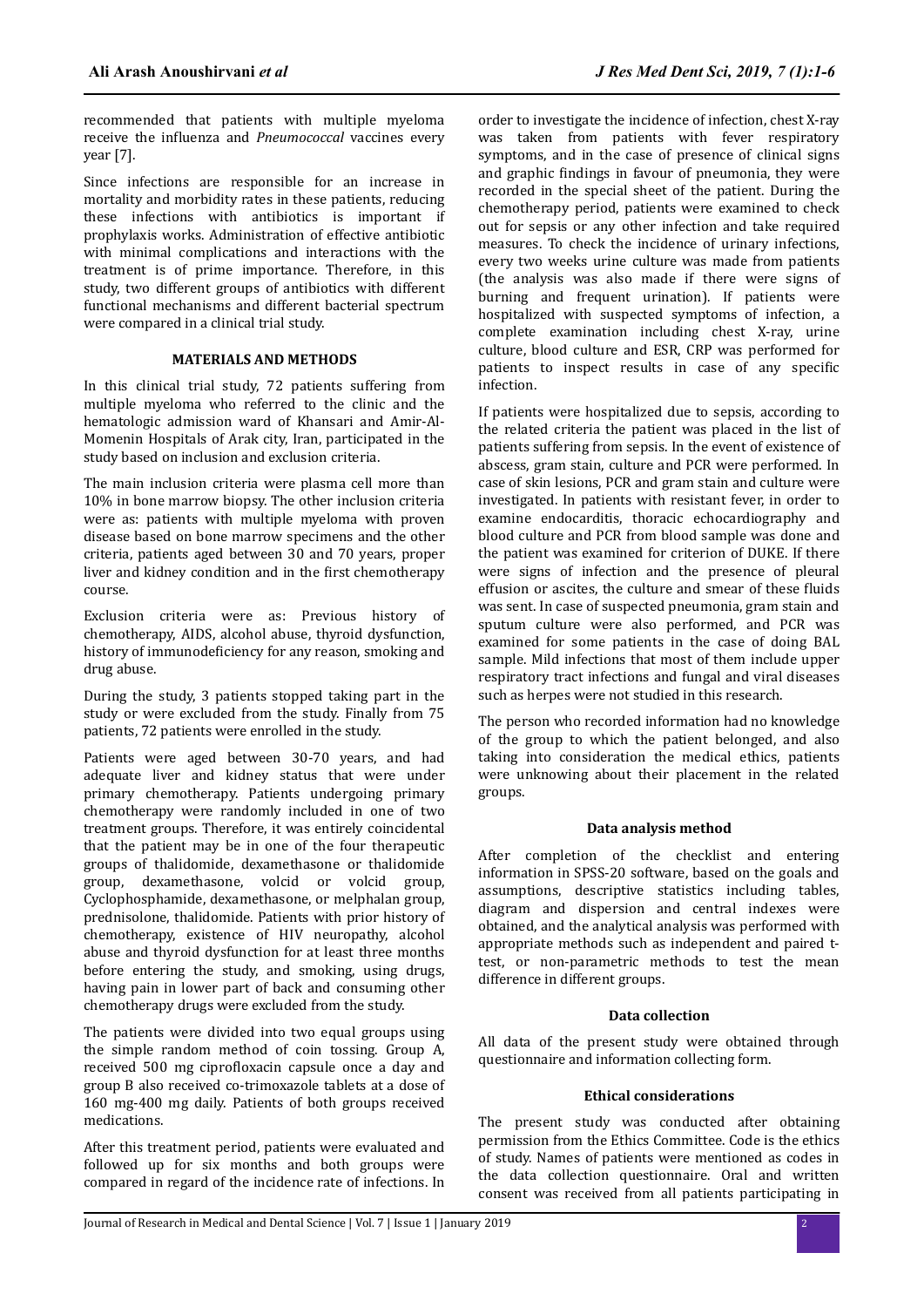recommended that patients with multiple myeloma receive the influenza and *Pneumococcal* vaccines every year [7].

Since infections are responsible for an increase in mortality and morbidity rates in these patients, reducing these infections with antibiotics is important if prophylaxis works. Administration of effective antibiotic with minimal complications and interactions with the treatment is of prime importance. Therefore, in this study, two different groups of antibiotics with different functional mechanisms and different bacterial spectrum were compared in a clinical trial study.

#### **MATERIALS AND METHODS**

In this clinical trial study, 72 patients suffering from multiple myeloma who referred to the clinic and the hematologic admission ward of Khansari and Amir-Al-Momenin Hospitals of Arak city, Iran, participated in the study based on inclusion and exclusion criteria.

The main inclusion criteria were plasma cell more than 10% in bone marrow biopsy. The other inclusion criteria were as: patients with multiple myeloma with proven disease based on bone marrow specimens and the other criteria, patients aged between 30 and 70 years, proper liver and kidney condition and in the first chemotherapy course.

Exclusion criteria were as: Previous history of chemotherapy, AIDS, alcohol abuse, thyroid dysfunction, history of immunodeficiency for any reason, smoking and drug abuse.

During the study, 3 patients stopped taking part in the study or were excluded from the study. Finally from 75 patients, 72 patients were enrolled in the study.

Patients were aged between 30-70 years, and had adequate liver and kidney status that were under primary chemotherapy. Patients undergoing primary chemotherapy were randomly included in one of two treatment groups. Therefore, it was entirely coincidental that the patient may be in one of the four therapeutic groups of thalidomide, dexamethasone or thalidomide group, dexamethasone, volcid or volcid group, Cyclophosphamide, dexamethasone, or melphalan group, prednisolone, thalidomide. Patients with prior history of chemotherapy, existence of HIV neuropathy, alcohol abuse and thyroid dysfunction for at least three months before entering the study, and smoking, using drugs, having pain in lower part of back and consuming other chemotherapy drugs were excluded from the study.

The patients were divided into two equal groups using the simple random method of coin tossing. Group A, received 500 mg ciprofloxacin capsule once a day and group B also received co-trimoxazole tablets at a dose of 160 mg-400 mg daily. Patients of both groups received medications.

After this treatment period, patients were evaluated and followed up for six months and both groups were compared in regard of the incidence rate of infections. In

order to investigate the incidence of infection, chest X-ray was taken from patients with fever respiratory symptoms, and in the case of presence of clinical signs and graphic findings in favour of pneumonia, they were recorded in the special sheet of the patient. During the chemotherapy period, patients were examined to check out for sepsis or any other infection and take required measures. To check the incidence of urinary infections, every two weeks urine culture was made from patients (the analysis was also made if there were signs of burning and frequent urination). If patients were hospitalized with suspected symptoms of infection, a complete examination including chest X-ray, urine culture, blood culture and ESR, CRP was performed for patients to inspect results in case of any specific infection.

If patients were hospitalized due to sepsis, according to the related criteria the patient was placed in the list of patients suffering from sepsis. In the event of existence of abscess, gram stain, culture and PCR were performed. In case of skin lesions, PCR and gram stain and culture were investigated. In patients with resistant fever, in order to examine endocarditis, thoracic echocardiography and blood culture and PCR from blood sample was done and the patient was examined for criterion of DUKE. If there were signs of infection and the presence of pleural effusion or ascites, the culture and smear of these fluids was sent. In case of suspected pneumonia, gram stain and sputum culture were also performed, and PCR was examined for some patients in the case of doing BAL sample. Mild infections that most of them include upper respiratory tract infections and fungal and viral diseases such as herpes were not studied in this research.

The person who recorded information had no knowledge of the group to which the patient belonged, and also taking into consideration the medical ethics, patients were unknowing about their placement in the related groups.

#### **Data analysis method**

After completion of the checklist and entering information in SPSS-20 software, based on the goals and assumptions, descriptive statistics including tables, diagram and dispersion and central indexes were obtained, and the analytical analysis was performed with appropriate methods such as independent and paired ttest, or non-parametric methods to test the mean difference in different groups.

## **Data collection**

All data of the present study were obtained through questionnaire and information collecting form.

#### **Ethical considerations**

The present study was conducted after obtaining permission from the Ethics Committee. Code is the ethics of study. Names of patients were mentioned as codes in the data collection questionnaire. Oral and written consent was received from all patients participating in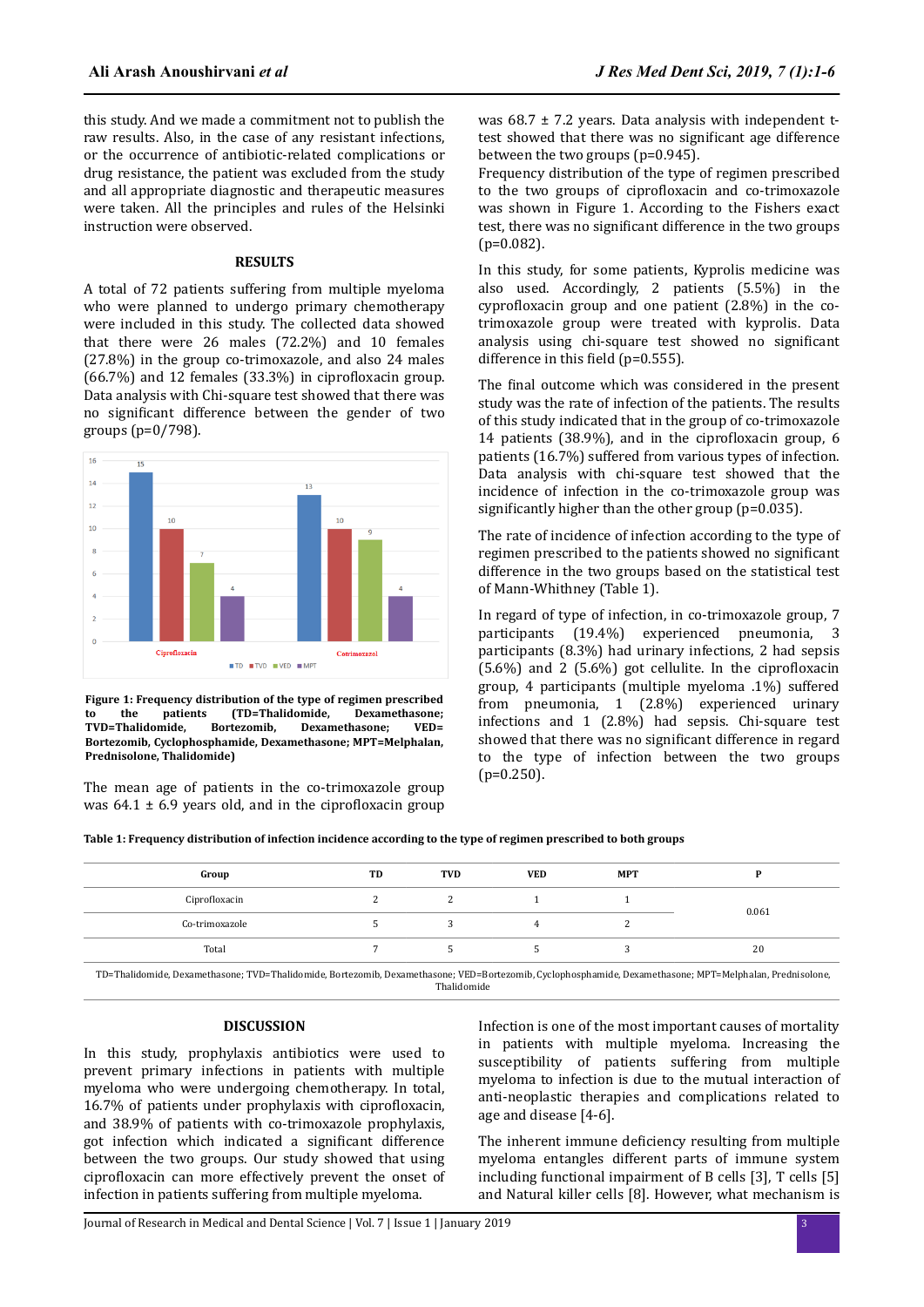this study. And we made a commitment not to publish the raw results. Also, in the case of any resistant infections, or the occurrence of antibiotic-related complications or drug resistance, the patient was excluded from the study and all appropriate diagnostic and therapeutic measures were taken. All the principles and rules of the Helsinki instruction were observed.

#### **RESULTS**

A total of 72 patients suffering from multiple myeloma who were planned to undergo primary chemotherapy were included in this study. The collected data showed that there were 26 males (72.2%) and 10 females (27.8%) in the group co-trimoxazole, and also 24 males  $(66.7%)$  and 12 females  $(33.3%)$  in ciprofloxacin group. Data analysis with Chi-square test showed that there was no significant difference between the gender of two groups (p=0/798).



**Figure 1: Frequency distribution of the type of regimen prescribed to the patients (TD=Thalidomide, Dexamethasone; TVD=Thalidomide, Bortezomib, Dexamethasone; VED= Bortezomib, Cyclophosphamide, Dexamethasone; MPT=Melphalan, Prednisolone, Thalidomide)**

The mean age of patients in the co-trimoxazole group was  $64.1 \pm 6.9$  years old, and in the ciprofloxacin group was  $68.7 \pm 7.2$  years. Data analysis with independent ttest showed that there was no significant age difference between the two groups (p=0.945).

Frequency distribution of the type of regimen prescribed to the two groups of ciprofloxacin and co-trimoxazole was shown in Figure 1. According to the Fishers exact test, there was no significant difference in the two groups (p=0.082).

In this study, for some patients, Kyprolis medicine was also used. Accordingly, 2 patients (5.5%) in the cyprofloxacin group and one patient  $(2.8\%)$  in the cotrimoxazole group were treated with kyprolis. Data analysis using chi-square test showed no significant difference in this field ( $p=0.555$ ).

The final outcome which was considered in the present study was the rate of infection of the patients. The results of this study indicated that in the group of co-trimoxazole 14 patients  $(38.9\%)$ , and in the ciprofloxacin group, 6 patients (16.7%) suffered from various types of infection. Data analysis with chi-square test showed that the incidence of infection in the co-trimoxazole group was significantly higher than the other group ( $p=0.035$ ).

The rate of incidence of infection according to the type of regimen prescribed to the patients showed no significant difference in the two groups based on the statistical test of Mann-Whithney (Table 1).

In regard of type of infection, in co-trimoxazole group, 7 participants (19.4%) experienced pneumonia, 3 participants (8.3%) had urinary infections, 2 had sepsis  $(5.6\%)$  and 2  $(5.6\%)$  got cellulite. In the ciprofloxacin group, 4 participants (multiple myeloma .1%) suffered from pneumonia, 1 (2.8%) experienced urinary infections and 1 (2.8%) had sepsis. Chi-square test showed that there was no significant difference in regard to the type of infection between the two groups  $(p=0.250)$ .

**Table 1: Frequency distribution of infection incidence according to the type of regimen prescribed to both groups**

| Group          | TD | TVD | <b>VED</b> | <b>MPT</b> |       |
|----------------|----|-----|------------|------------|-------|
| Ciprofloxacin  |    |     |            |            | 0.061 |
| Co-trimoxazole |    |     |            |            |       |
| Total          |    |     |            |            | 20    |
|                |    |     |            |            |       |

TD=Thalidomide, Dexamethasone; TVD=Thalidomide, Bortezomib, Dexamethasone; VED=Bortezomib, Cyclophosphamide, Dexamethasone; MPT=Melphalan, Prednisolone, Thalidomide

#### **DISCUSSION**

In this study, prophylaxis antibiotics were used to prevent primary infections in patients with multiple myeloma who were undergoing chemotherapy. In total,  $16.7\%$  of patients under prophylaxis with ciprofloxacin, and 38.9% of patients with co-trimoxazole prophylaxis, got infection which indicated a significant difference between the two groups. Our study showed that using ciprofloxacin can more effectively prevent the onset of infection in patients suffering from multiple myeloma.

Infection is one of the most important causes of mortality in patients with multiple myeloma. Increasing the susceptibility of patients suffering from multiple myeloma to infection is due to the mutual interaction of anti-neoplastic therapies and complications related to age and disease [4-6].

The inherent immune deficiency resulting from multiple myeloma entangles different parts of immune system including functional impairment of B cells [3], T cells [5] and Natural killer cells [8]. However, what mechanism is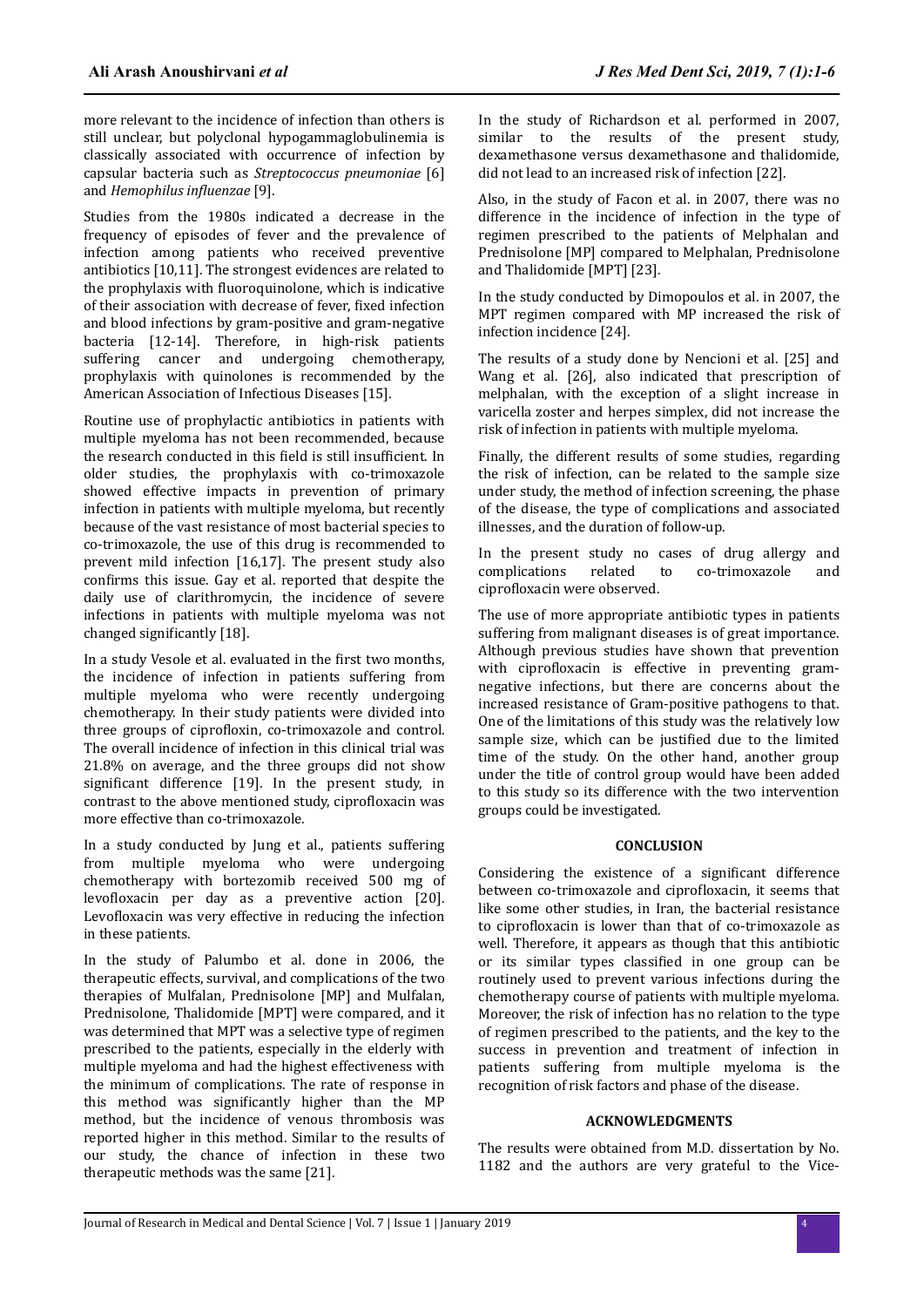more relevant to the incidence of infection than others is still unclear, but polyclonal hypogammaglobulinemia is classically associated with occurrence of infection by capsular bacteria such as *Streptococcus pneumoniae* [6] and *Hemophilus influenzae* [9].

Studies from the 1980s indicated a decrease in the frequency of episodes of fever and the prevalence of infection among patients who received preventive antibiotics [10,11]. The strongest evidences are related to the prophylaxis with fluoroquinolone, which is indicative of their association with decrease of fever, fixed infection and blood infections by gram-positive and gram-negative bacteria [12-14]. Therefore, in high-risk patients suffering cancer and undergoing chemotherapy, prophylaxis with quinolones is recommended by the American Association of Infectious Diseases [15].

Routine use of prophylactic antibiotics in patients with multiple myeloma has not been recommended, because the research conducted in this field is still insufficient. In older studies, the prophylaxis with co-trimoxazole showed effective impacts in prevention of primary infection in patients with multiple myeloma, but recently because of the vast resistance of most bacterial species to co-trimoxazole, the use of this drug is recommended to prevent mild infection [16,17]. The present study also confirms this issue. Gay et al. reported that despite the daily use of clarithromycin, the incidence of severe infections in patients with multiple myeloma was not changed significantly [18].

In a study Vesole et al. evaluated in the first two months, the incidence of infection in patients suffering from multiple myeloma who were recently undergoing chemotherapy. In their study patients were divided into three groups of ciprofloxin, co-trimoxazole and control. The overall incidence of infection in this clinical trial was 21.8% on average, and the three groups did not show significant difference [19]. In the present study, in contrast to the above mentioned study, ciprofloxacin was more effective than co-trimoxazole.

In a study conducted by Jung et al., patients suffering from multiple myeloma who were undergoing chemotherapy with bortezomib received 500 mg of levofloxacin per day as a preventive action [20]. Levofloxacin was very effective in reducing the infection in these patients.

In the study of Palumbo et al. done in 2006, the therapeutic effects, survival, and complications of the two therapies of Mulfalan, Prednisolone [MP] and Mulfalan, Prednisolone, Thalidomide [MPT] were compared, and it was determined that MPT was a selective type of regimen prescribed to the patients, especially in the elderly with multiple myeloma and had the highest effectiveness with the minimum of complications. The rate of response in this method was significantly higher than the MP method, but the incidence of venous thrombosis was reported higher in this method. Similar to the results of our study, the chance of infection in these two therapeutic methods was the same [21].

In the study of Richardson et al. performed in 2007, similar to the results of the present study, dexamethasone versus dexamethasone and thalidomide, did not lead to an increased risk of infection [22].

Also, in the study of Facon et al. in 2007, there was no difference in the incidence of infection in the type of regimen prescribed to the patients of Melphalan and Prednisolone [MP] compared to Melphalan, Prednisolone and Thalidomide [MPT] [23].

In the study conducted by Dimopoulos et al. in 2007, the MPT regimen compared with MP increased the risk of infection incidence [24].

The results of a study done by Nencioni et al. [25] and Wang et al. [26], also indicated that prescription of melphalan, with the exception of a slight increase in varicella zoster and herpes simplex, did not increase the risk of infection in patients with multiple myeloma.

Finally, the different results of some studies, regarding the risk of infection, can be related to the sample size under study, the method of infection screening, the phase of the disease, the type of complications and associated illnesses, and the duration of follow-up.

In the present study no cases of drug allergy and complications related to co-trimoxazole and ciprofloxacin were observed.

The use of more appropriate antibiotic types in patients suffering from malignant diseases is of great importance. Although previous studies have shown that prevention with ciprofloxacin is effective in preventing gramnegative infections, but there are concerns about the increased resistance of Gram-positive pathogens to that. One of the limitations of this study was the relatively low sample size, which can be justified due to the limited time of the study. On the other hand, another group under the title of control group would have been added to this study so its difference with the two intervention groups could be investigated.

## **CONCLUSION**

Considering the existence of a significant difference between co-trimoxazole and ciprofloxacin, it seems that like some other studies, in Iran, the bacterial resistance to ciprofloxacin is lower than that of co-trimoxazole as well. Therefore, it appears as though that this antibiotic or its similar types classified in one group can be routinely used to prevent various infections during the chemotherapy course of patients with multiple myeloma. Moreover, the risk of infection has no relation to the type of regimen prescribed to the patients, and the key to the success in prevention and treatment of infection in patients suffering from multiple myeloma is the recognition of risk factors and phase of the disease.

#### **ACKNOWLEDGMENTS**

The results were obtained from M.D. dissertation by No. 1182 and the authors are very grateful to the Vice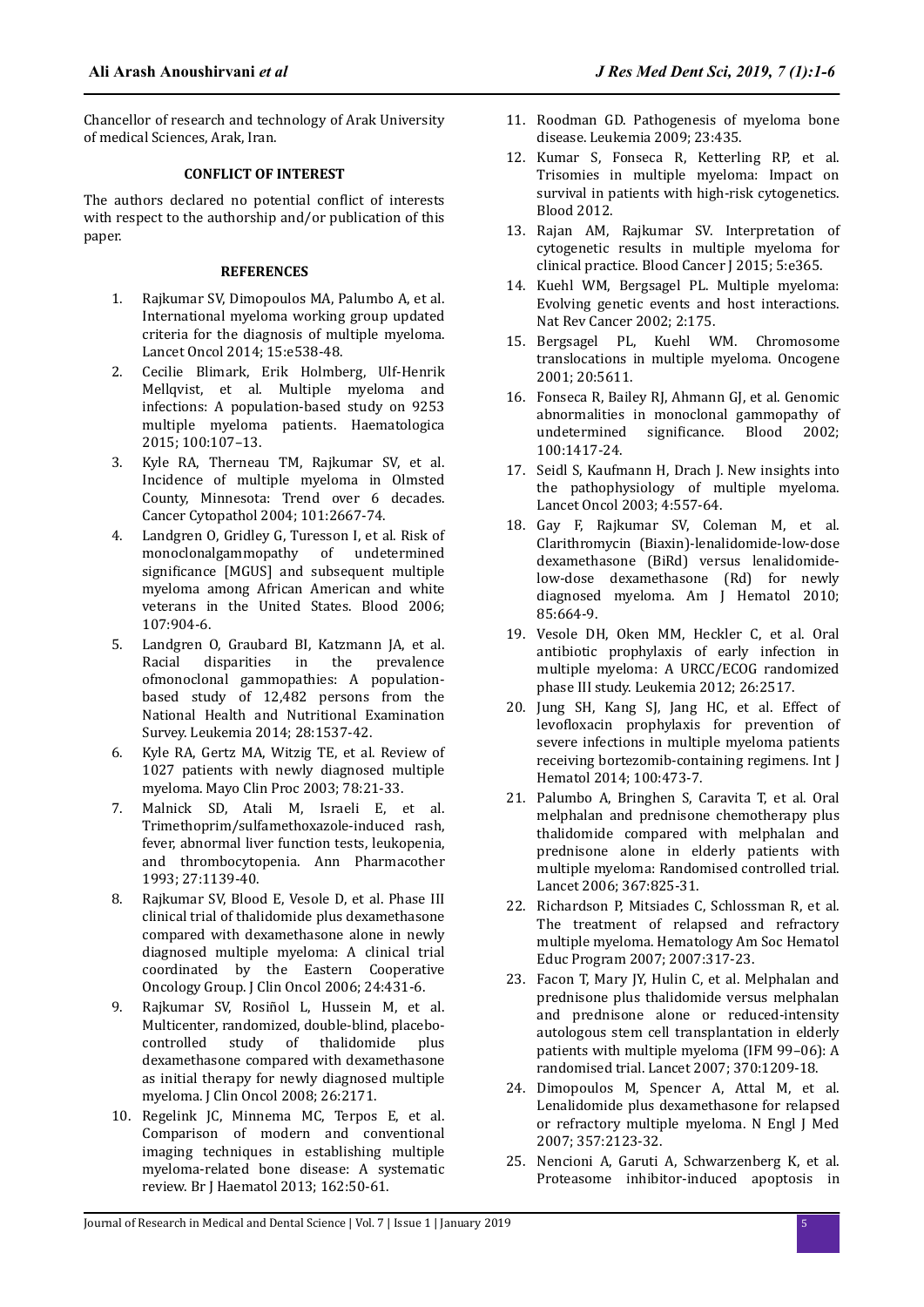Chancellor of research and technology of Arak University of medical Sciences, Arak, Iran.

#### **CONFLICT OF INTEREST**

The authors declared no potential conflict of interests with respect to the authorship and/or publication of this paper.

#### **REFERENCES**

- 1. Rajkumar SV, Dimopoulos MA, Palumbo A, et al. International myeloma working group updated criteria for the diagnosis of multiple myeloma. Lancet Oncol 2014; 15:e538-48.
- 2. Cecilie Blimark, Erik Holmberg, Ulf-Henrik Mellqvist, et al. Multiple myeloma and infections: A population-based study on 9253 multiple myeloma patients. Haematologica 2015; 100:107–13.
- 3. Kyle RA, Therneau TM, Rajkumar SV, et al. Incidence of multiple myeloma in Olmsted County, Minnesota: Trend over 6 decades. Cancer Cytopathol 2004; 101:2667-74.
- 4. Landgren O, Gridley G, Turesson I, et al. Risk of monoclonalgammopathy of undetermined significance [MGUS] and subsequent multiple myeloma among African American and white veterans in the United States. Blood 2006; 107:904-6.
- 5. Landgren O, Graubard BI, Katzmann JA, et al. Racial disparities in the prevalence ofmonoclonal gammopathies: A populationbased study of 12,482 persons from the National Health and Nutritional Examination Survey. Leukemia 2014; 28:1537-42.
- 6. Kyle RA, Gertz MA, Witzig TE, et al. Review of 1027 patients with newly diagnosed multiple myeloma. Mayo Clin Proc 2003; 78:21-33.
- 7. Malnick SD, Atali M, Israeli E, et al. Trimethoprim/sulfamethoxazole-induced rash, fever, abnormal liver function tests, leukopenia, and thrombocytopenia. Ann Pharmacother 1993; 27:1139-40.
- 8. Rajkumar SV, Blood E, Vesole D, et al. Phase III clinical trial of thalidomide plus dexamethasone compared with dexamethasone alone in newly diagnosed multiple myeloma: A clinical trial coordinated by the Eastern Cooperative Oncology Group. J Clin Oncol 2006; 24:431-6.
- 9. Rajkumar SV, Rosiñol L, Hussein M, et al. Multicenter, randomized, double-blind, placebocontrolled study of thalidomide plus dexamethasone compared with dexamethasone as initial therapy for newly diagnosed multiple myeloma. J Clin Oncol 2008; 26:2171.
- 10. Regelink JC, Minnema MC, Terpos E, et al. Comparison of modern and conventional imaging techniques in establishing multiple myeloma-related bone disease: A systematic review. Br J Haematol 2013; 162:50-61.
- 11. Roodman GD. Pathogenesis of myeloma bone disease. Leukemia 2009; 23:435.
- 12. Kumar S, Fonseca R, Ketterling RP, et al. Trisomies in multiple myeloma: Impact on survival in patients with high-risk cytogenetics. Blood 2012.
- 13. Rajan AM, Rajkumar SV. Interpretation of cytogenetic results in multiple myeloma for clinical practice. Blood Cancer J 2015; 5:e365.
- 14. Kuehl WM, Bergsagel PL. Multiple myeloma: Evolving genetic events and host interactions. Nat Rev Cancer 2002; 2:175.
- 15. Bergsagel PL, Kuehl WM. Chromosome translocations in multiple myeloma. Oncogene 2001; 20:5611.
- 16. Fonseca R, Bailey RJ, Ahmann GJ, et al. Genomic abnormalities in monoclonal gammopathy of undetermined significance. Blood 2002; 100:1417-24.
- 17. Seidl S, Kaufmann H, Drach J. New insights into the pathophysiology of multiple myeloma. Lancet Oncol 2003; 4:557-64.
- 18. Gay F, Rajkumar SV, Coleman M, et al. Clarithromycin (Biaxin)-lenalidomide-low-dose dexamethasone (BiRd) versus lenalidomidelow-dose dexamethasone (Rd) for newly diagnosed myeloma. Am J Hematol 2010; 85:664-9.
- 19. Vesole DH, Oken MM, Heckler C, et al. Oral antibiotic prophylaxis of early infection in multiple myeloma: A URCC/ECOG randomized phase III study. Leukemia 2012; 26:2517.
- 20. Jung SH, Kang SJ, Jang HC, et al. Effect of levofloxacin prophylaxis for prevention of severe infections in multiple myeloma patients receiving bortezomib-containing regimens. Int J Hematol 2014; 100:473-7.
- 21. Palumbo A, Bringhen S, Caravita T, et al. Oral melphalan and prednisone chemotherapy plus thalidomide compared with melphalan and prednisone alone in elderly patients with multiple myeloma: Randomised controlled trial. Lancet 2006; 367:825-31.
- 22. Richardson P, Mitsiades C, Schlossman R, et al. The treatment of relapsed and refractory multiple myeloma. Hematology Am Soc Hematol Educ Program 2007; 2007:317-23.
- 23. Facon T, Mary JY, Hulin C, et al. Melphalan and prednisone plus thalidomide versus melphalan and prednisone alone or reduced-intensity autologous stem cell transplantation in elderly patients with multiple myeloma (IFM 99–06): A randomised trial. Lancet 2007; 370:1209-18.
- 24. Dimopoulos M, Spencer A, Attal M, et al. Lenalidomide plus dexamethasone for relapsed or refractory multiple myeloma. N Engl J Med 2007; 357:2123-32.
- 25. Nencioni A, Garuti A, Schwarzenberg K, et al. Proteasome inhibitor-induced apoptosis in